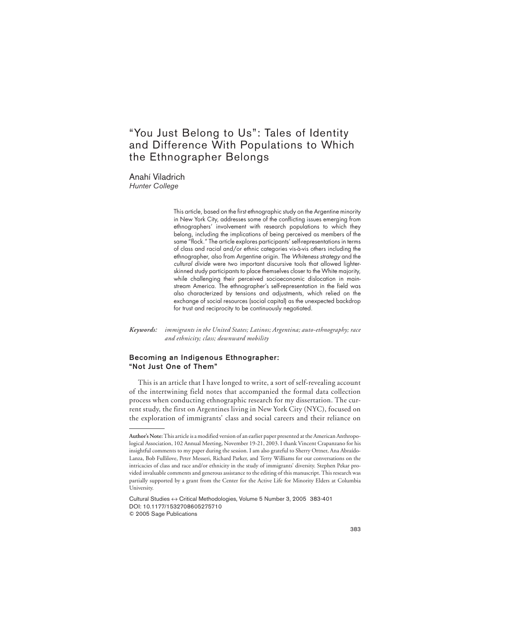# "You Just Belong to Us": Tales of Identity and Difference With Populations to Which the Ethnographer Belongs

Anahí Viladrich *Hunter College*

> This article, based on the first ethnographic study on the Argentine minority in New York City, addresses some of the conflicting issues emerging from ethnographers' involvement with research populations to which they belong, including the implications of being perceived as members of the same "flock." The article explores participants' self-representations in terms of class and racial and/or ethnic categories vis-à-vis others including the ethnographer, also from Argentine origin. The Whiteness strategy and the cultural divide were two important discursive tools that allowed lighterskinned study participants to place themselves closer to the White majority, while challenging their perceived socioeconomic dislocation in mainstream America. The ethnographer's self-representation in the field was also characterized by tensions and adjustments, which relied on the exchange of social resources (social capital) as the unexpected backdrop for trust and reciprocity to be continuously negotiated.

## **Becoming an Indigenous Ethnographer: "Not Just One of Them"**

This is an article that I have longed to write, a sort of self-revealing account of the intertwining field notes that accompanied the formal data collection process when conducting ethnographic research for my dissertation. The current study, the first on Argentines living in New York City (NYC), focused on the exploration of immigrants' class and social careers and their reliance on

*Keywords: immigrants in the United States; Latinos; Argentina; auto-ethnography; race and ethnicity; class; downward mobility*

**Author's Note:**This article is a modified version of an earlier paper presented at the American Anthropological Association, 102 Annual Meeting, November 19-21, 2003. I thank Vincent Crapanzano for his insightful comments to my paper during the session. I am also grateful to Sherry Ortner, Ana Abraído-Lanza, Bob Fullilove, Peter Messeri, Richard Parker, and Terry Williams for our conversations on the intricacies of class and race and/or ethnicity in the study of immigrants' diversity. Stephen Pekar provided invaluable comments and generous assistance to the editing of this manuscript. This research was partially supported by a grant from the Center for the Active Life for Minority Elders at Columbia University.

Cultural Studies ↔ Critical Methodologies, Volume 5 Number 3, 2005 383-401 DOI: 10.1177/1532708605275710 © 2005 Sage Publications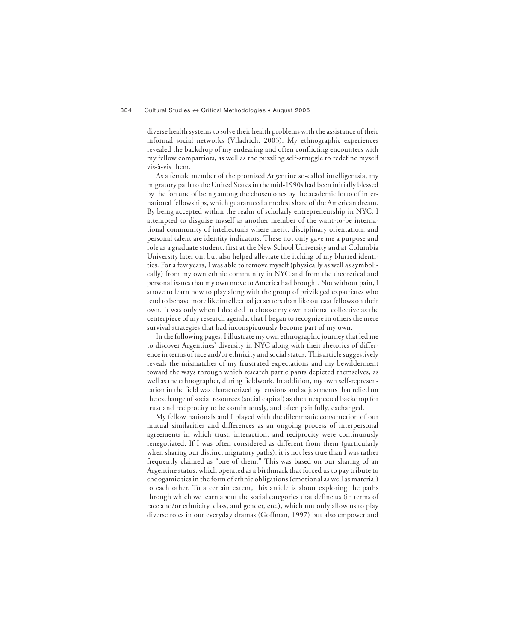diverse health systems to solve their health problems with the assistance of their informal social networks (Viladrich, 2003). My ethnographic experiences revealed the backdrop of my endearing and often conflicting encounters with my fellow compatriots, as well as the puzzling self-struggle to redefine myself vis-à-vis them.

As a female member of the promised Argentine so-called intelligentsia, my migratory path to the United States in the mid-1990s had been initially blessed by the fortune of being among the chosen ones by the academic lotto of international fellowships, which guaranteed a modest share of the American dream. By being accepted within the realm of scholarly entrepreneurship in NYC, I attempted to disguise myself as another member of the want-to-be international community of intellectuals where merit, disciplinary orientation, and personal talent are identity indicators. These not only gave me a purpose and role as a graduate student, first at the New School University and at Columbia University later on, but also helped alleviate the itching of my blurred identities. For a few years, I was able to remove myself (physically as well as symbolically) from my own ethnic community in NYC and from the theoretical and personal issues that my own move to America had brought. Not without pain, I strove to learn how to play along with the group of privileged expatriates who tend to behave more like intellectual jet setters than like outcast fellows on their own. It was only when I decided to choose my own national collective as the centerpiece of my research agenda, that I began to recognize in others the mere survival strategies that had inconspicuously become part of my own.

In the following pages, I illustrate my own ethnographic journey that led me to discover Argentines' diversity in NYC along with their rhetorics of difference in terms of race and/or ethnicity and social status. This article suggestively reveals the mismatches of my frustrated expectations and my bewilderment toward the ways through which research participants depicted themselves, as well as the ethnographer, during fieldwork. In addition, my own self-representation in the field was characterized by tensions and adjustments that relied on the exchange of social resources (social capital) as the unexpected backdrop for trust and reciprocity to be continuously, and often painfully, exchanged.

My fellow nationals and I played with the dilemmatic construction of our mutual similarities and differences as an ongoing process of interpersonal agreements in which trust, interaction, and reciprocity were continuously renegotiated. If I was often considered as different from them (particularly when sharing our distinct migratory paths), it is not less true than I was rather frequently claimed as "one of them." This was based on our sharing of an Argentine status, which operated as a birthmark that forced us to pay tribute to endogamic ties in the form of ethnic obligations (emotional as well as material) to each other. To a certain extent, this article is about exploring the paths through which we learn about the social categories that define us (in terms of race and/or ethnicity, class, and gender, etc.), which not only allow us to play diverse roles in our everyday dramas (Goffman, 1997) but also empower and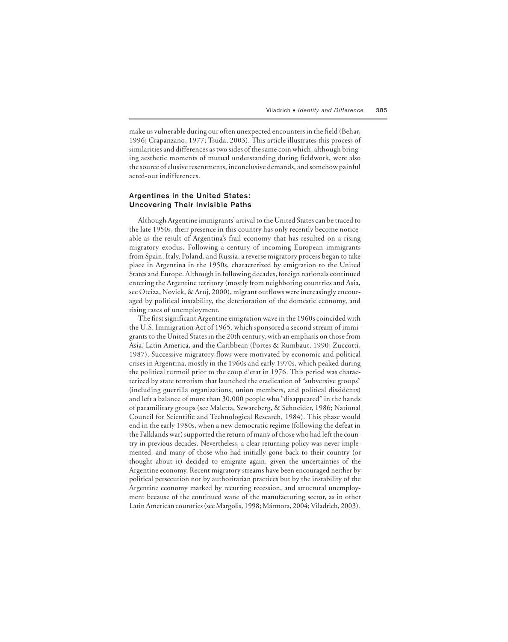make us vulnerable during our often unexpected encounters in the field (Behar, 1996; Crapanzano, 1977; Tsuda, 2003). This article illustrates this process of similarities and differences as two sides of the same coin which, although bringing aesthetic moments of mutual understanding during fieldwork, were also the source of elusive resentments, inconclusive demands, and somehow painful acted-out indifferences.

# **Argentines in the United States: Uncovering Their Invisible Paths**

Although Argentine immigrants' arrival to the United States can be traced to the late 1950s, their presence in this country has only recently become noticeable as the result of Argentina's frail economy that has resulted on a rising migratory exodus. Following a century of incoming European immigrants from Spain, Italy, Poland, and Russia, a reverse migratory process began to take place in Argentina in the 1950s, characterized by emigration to the United States and Europe. Although in following decades, foreign nationals continued entering the Argentine territory (mostly from neighboring countries and Asia, see Oteiza, Novick, & Aruj, 2000), migrant outflows were increasingly encouraged by political instability, the deterioration of the domestic economy, and rising rates of unemployment.

The first significant Argentine emigration wave in the 1960s coincided with the U.S. Immigration Act of 1965, which sponsored a second stream of immigrants to the United States in the 20th century, with an emphasis on those from Asia, Latin America, and the Caribbean (Portes & Rumbaut, 1990; Zuccotti, 1987). Successive migratory flows were motivated by economic and political crises in Argentina, mostly in the 1960s and early 1970s, which peaked during the political turmoil prior to the coup d'etat in 1976. This period was characterized by state terrorism that launched the eradication of "subversive groups" (including guerrilla organizations, union members, and political dissidents) and left a balance of more than 30,000 people who "disappeared" in the hands of paramilitary groups (see Maletta, Szwarcberg, & Schneider, 1986; National Council for Scientific and Technological Research, 1984). This phase would end in the early 1980s, when a new democratic regime (following the defeat in the Falklands war) supported the return of many of those who had left the country in previous decades. Nevertheless, a clear returning policy was never implemented, and many of those who had initially gone back to their country (or thought about it) decided to emigrate again, given the uncertainties of the Argentine economy. Recent migratory streams have been encouraged neither by political persecution nor by authoritarian practices but by the instability of the Argentine economy marked by recurring recession, and structural unemployment because of the continued wane of the manufacturing sector, as in other Latin American countries (see Margolis, 1998; Mármora, 2004; Viladrich, 2003).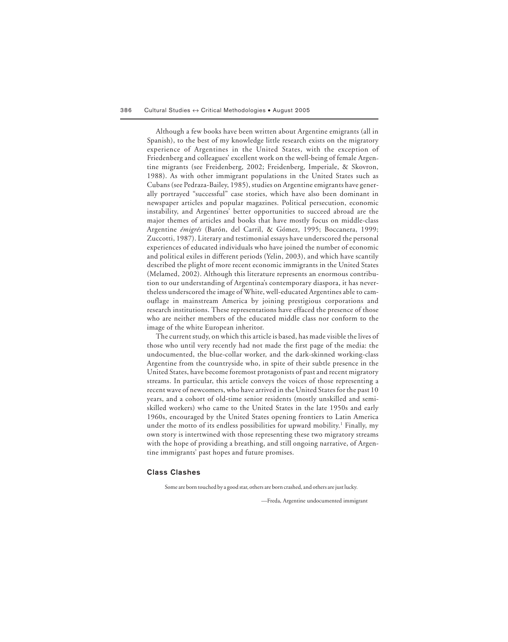Although a few books have been written about Argentine emigrants (all in Spanish), to the best of my knowledge little research exists on the migratory experience of Argentines in the United States, with the exception of Friedenberg and colleagues' excellent work on the well-being of female Argentine migrants (see Freidenberg, 2002; Freidenberg, Imperiale, & Skovron, 1988). As with other immigrant populations in the United States such as Cubans (see Pedraza-Bailey, 1985), studies on Argentine emigrants have generally portrayed "successful" case stories, which have also been dominant in newspaper articles and popular magazines. Political persecution, economic instability, and Argentines' better opportunities to succeed abroad are the major themes of articles and books that have mostly focus on middle-class Argentine *émigrés* (Barón, del Carril, & Gómez, 1995; Boccanera, 1999; Zuccotti, 1987). Literary and testimonial essays have underscored the personal experiences of educated individuals who have joined the number of economic and political exiles in different periods (Yelin, 2003), and which have scantily described the plight of more recent economic immigrants in the United States (Melamed, 2002). Although this literature represents an enormous contribution to our understanding of Argentina's contemporary diaspora, it has nevertheless underscored the image of White, well-educated Argentines able to camouflage in mainstream America by joining prestigious corporations and research institutions. These representations have effaced the presence of those who are neither members of the educated middle class nor conform to the image of the white European inheritor.

The current study, on which this article is based, has made visible the lives of those who until very recently had not made the first page of the media: the undocumented, the blue-collar worker, and the dark-skinned working-class Argentine from the countryside who, in spite of their subtle presence in the United States, have become foremost protagonists of past and recent migratory streams. In particular, this article conveys the voices of those representing a recent wave of newcomers, who have arrived in the United States for the past 10 years, and a cohort of old-time senior residents (mostly unskilled and semiskilled workers) who came to the United States in the late 1950s and early 1960s, encouraged by the United States opening frontiers to Latin America under the motto of its endless possibilities for upward mobility.<sup>1</sup> Finally, my own story is intertwined with those representing these two migratory streams with the hope of providing a breathing, and still ongoing narrative, of Argentine immigrants' past hopes and future promises.

# **Class Clashes**

Some are born touched by a good star, others are born crashed, and others are just lucky.

—Freda, Argentine undocumented immigrant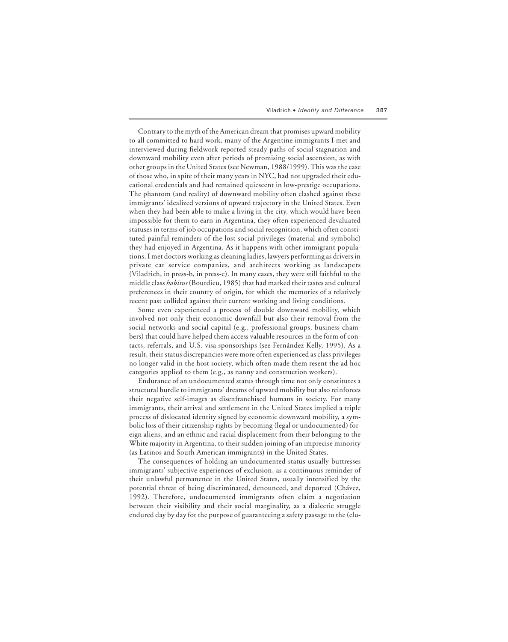Contrary to the myth of the American dream that promises upward mobility to all committed to hard work, many of the Argentine immigrants I met and interviewed during fieldwork reported steady paths of social stagnation and downward mobility even after periods of promising social ascension, as with other groups in the United States (see Newman, 1988/1999). This was the case of those who, in spite of their many years in NYC, had not upgraded their educational credentials and had remained quiescent in low-prestige occupations. The phantom (and reality) of downward mobility often clashed against these immigrants' idealized versions of upward trajectory in the United States. Even when they had been able to make a living in the city, which would have been impossible for them to earn in Argentina, they often experienced devaluated statuses in terms of job occupations and social recognition, which often constituted painful reminders of the lost social privileges (material and symbolic) they had enjoyed in Argentina. As it happens with other immigrant populations, I met doctors working as cleaning ladies, lawyers performing as drivers in private car service companies, and architects working as landscapers (Viladrich, in press-b, in press-c). In many cases, they were still faithful to the middle class *habitus* (Bourdieu, 1985) that had marked their tastes and cultural preferences in their country of origin, for which the memories of a relatively recent past collided against their current working and living conditions.

Some even experienced a process of double downward mobility, which involved not only their economic downfall but also their removal from the social networks and social capital (e.g., professional groups, business chambers) that could have helped them access valuable resources in the form of contacts, referrals, and U.S. visa sponsorships (see Fernández Kelly, 1995). As a result, their status discrepancies were more often experienced as class privileges no longer valid in the host society, which often made them resent the ad hoc categories applied to them (e.g., as nanny and construction workers).

Endurance of an undocumented status through time not only constitutes a structural hurdle to immigrants' dreams of upward mobility but also reinforces their negative self-images as disenfranchised humans in society. For many immigrants, their arrival and settlement in the United States implied a triple process of dislocated identity signed by economic downward mobility, a symbolic loss of their citizenship rights by becoming (legal or undocumented) foreign aliens, and an ethnic and racial displacement from their belonging to the White majority in Argentina, to their sudden joining of an imprecise minority (as Latinos and South American immigrants) in the United States.

The consequences of holding an undocumented status usually buttresses immigrants' subjective experiences of exclusion, as a continuous reminder of their unlawful permanence in the United States, usually intensified by the potential threat of being discriminated, denounced, and deported (Chávez, 1992). Therefore, undocumented immigrants often claim a negotiation between their visibility and their social marginality, as a dialectic struggle endured day by day for the purpose of guaranteeing a safety passage to the (elu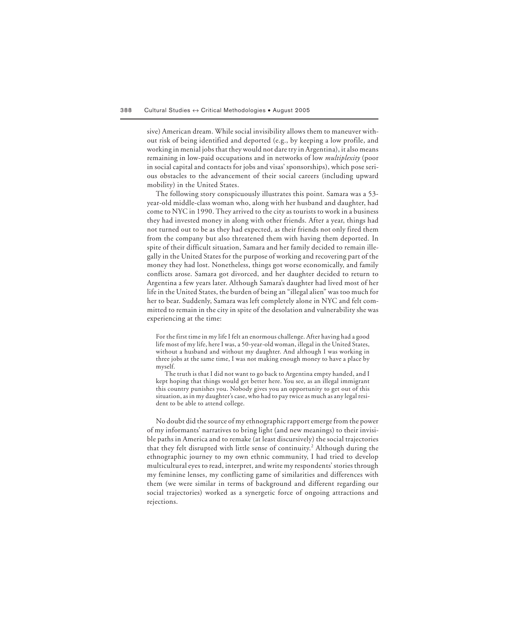sive) American dream. While social invisibility allows them to maneuver without risk of being identified and deported (e.g., by keeping a low profile, and working in menial jobs that they would not dare try in Argentina), it also means remaining in low-paid occupations and in networks of low *multiplexity* (poor in social capital and contacts for jobs and visas' sponsorships), which pose serious obstacles to the advancement of their social careers (including upward mobility) in the United States.

The following story conspicuously illustrates this point. Samara was a 53 year-old middle-class woman who, along with her husband and daughter, had come to NYC in 1990. They arrived to the city as tourists to work in a business they had invested money in along with other friends. After a year, things had not turned out to be as they had expected, as their friends not only fired them from the company but also threatened them with having them deported. In spite of their difficult situation, Samara and her family decided to remain illegally in the United States for the purpose of working and recovering part of the money they had lost. Nonetheless, things got worse economically, and family conflicts arose. Samara got divorced, and her daughter decided to return to Argentina a few years later. Although Samara's daughter had lived most of her life in the United States, the burden of being an "illegal alien" was too much for her to bear. Suddenly, Samara was left completely alone in NYC and felt committed to remain in the city in spite of the desolation and vulnerability she was experiencing at the time:

For the first time in my life I felt an enormous challenge. After having had a good life most of my life, here I was, a 50-year-old woman, illegal in the United States, without a husband and without my daughter. And although I was working in three jobs at the same time, I was not making enough money to have a place by myself.

The truth is that I did not want to go back to Argentina empty handed, and I kept hoping that things would get better here. You see, as an illegal immigrant this country punishes you. Nobody gives you an opportunity to get out of this situation, as in my daughter's case, who had to pay twice as much as any legal resident to be able to attend college.

No doubt did the source of my ethnographic rapport emerge from the power of my informants' narratives to bring light (and new meanings) to their invisible paths in America and to remake (at least discursively) the social trajectories that they felt disrupted with little sense of continuity.<sup>2</sup> Although during the ethnographic journey to my own ethnic community, I had tried to develop multicultural eyes to read, interpret, and write my respondents' stories through my feminine lenses, my conflicting game of similarities and differences with them (we were similar in terms of background and different regarding our social trajectories) worked as a synergetic force of ongoing attractions and rejections.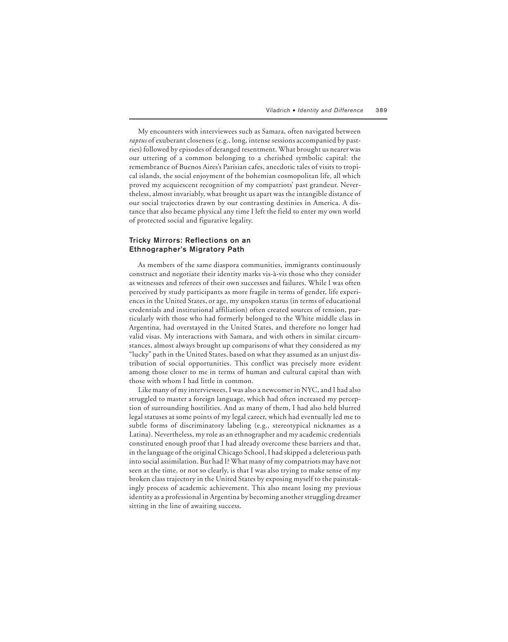My encounters with interviewees such as Samara, often navigated between *raptus* of exuberant closeness (e.g., long, intense sessions accompanied by pastries) followed by episodes of deranged resentment. What brought us nearer was our uttering of a common belonging to a cherished symbolic capital: the remembrance of Buenos Aires's Parisian cafes, anecdotic tales of visits to tropical islands, the social enjoyment of the bohemian cosmopolitan life, all which proved my acquiescent recognition of my compatriots' past grandeur. Nevertheless, almost invariably, what brought us apart was the intangible distance of our social trajectories drawn by our contrasting destinies in America. A distance that also became physical any time I left the field to enter my own world of protected social and figurative legality.

# **Tricky Mirrors: Reflections on an Ethnographer's Migratory Path**

As members of the same diaspora communities, immigrants continuously construct and negotiate their identity marks vis-à-vis those who they consider as witnesses and referees of their own successes and failures. While I was often perceived by study participants as more fragile in terms of gender, life experiences in the United States, or age, my unspoken status (in terms of educational credentials and institutional affiliation) often created sources of tension, particularly with those who had formerly belonged to the White middle class in Argentina, had overstayed in the United States, and therefore no longer had valid visas. My interactions with Samara, and with others in similar circumstances, almost always brought up comparisons of what they considered as my "lucky" path in the United States, based on what they assumed as an unjust distribution of social opportunities. This conflict was precisely more evident among those closer to me in terms of human and cultural capital than with those with whom I had little in common.

Like many of my interviewees, I was also a newcomer in NYC, and I had also struggled to master a foreign language, which had often increased my perception of surrounding hostilities. And as many of them, I had also held blurred legal statuses at some points of my legal career, which had eventually led me to subtle forms of discriminatory labeling (e.g., stereotypical nicknames as a Latina). Nevertheless, my role as an ethnographer and my academic credentials constituted enough proof that I had already overcome these barriers and that, in the language of the original Chicago School, I had skipped a deleterious path into social assimilation. But had I? What many of my compatriots may have not seen at the time, or not so clearly, is that I was also trying to make sense of my broken class trajectory in the United States by exposing myself to the painstakingly process of academic achievement. This also meant losing my previous identity as a professional in Argentina by becoming another struggling dreamer sitting in the line of awaiting success.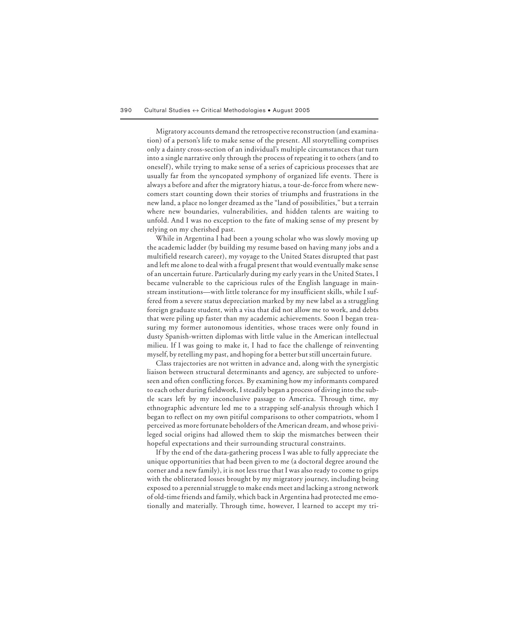Migratory accounts demand the retrospective reconstruction (and examination) of a person's life to make sense of the present. All storytelling comprises only a dainty cross-section of an individual's multiple circumstances that turn into a single narrative only through the process of repeating it to others (and to oneself), while trying to make sense of a series of capricious processes that are usually far from the syncopated symphony of organized life events. There is always a before and after the migratory hiatus, a tour-de-force from where newcomers start counting down their stories of triumphs and frustrations in the new land, a place no longer dreamed as the "land of possibilities," but a terrain where new boundaries, vulnerabilities, and hidden talents are waiting to unfold. And I was no exception to the fate of making sense of my present by relying on my cherished past.

While in Argentina I had been a young scholar who was slowly moving up the academic ladder (by building my resume based on having many jobs and a multifield research career), my voyage to the United States disrupted that past and left me alone to deal with a frugal present that would eventually make sense of an uncertain future. Particularly during my early years in the United States, I became vulnerable to the capricious rules of the English language in mainstream institutions—with little tolerance for my insufficient skills, while I suffered from a severe status depreciation marked by my new label as a struggling foreign graduate student, with a visa that did not allow me to work, and debts that were piling up faster than my academic achievements. Soon I began treasuring my former autonomous identities, whose traces were only found in dusty Spanish-written diplomas with little value in the American intellectual milieu. If I was going to make it, I had to face the challenge of reinventing myself, by retelling my past, and hoping for a better but still uncertain future.

Class trajectories are not written in advance and, along with the synergistic liaison between structural determinants and agency, are subjected to unforeseen and often conflicting forces. By examining how my informants compared to each other during fieldwork, I steadily began a process of diving into the subtle scars left by my inconclusive passage to America. Through time, my ethnographic adventure led me to a strapping self-analysis through which I began to reflect on my own pitiful comparisons to other compatriots, whom I perceived as more fortunate beholders of the American dream, and whose privileged social origins had allowed them to skip the mismatches between their hopeful expectations and their surrounding structural constraints.

If by the end of the data-gathering process I was able to fully appreciate the unique opportunities that had been given to me (a doctoral degree around the corner and a new family), it is not less true that I was also ready to come to grips with the obliterated losses brought by my migratory journey, including being exposed to a perennial struggle to make ends meet and lacking a strong network of old-time friends and family, which back in Argentina had protected me emotionally and materially. Through time, however, I learned to accept my tri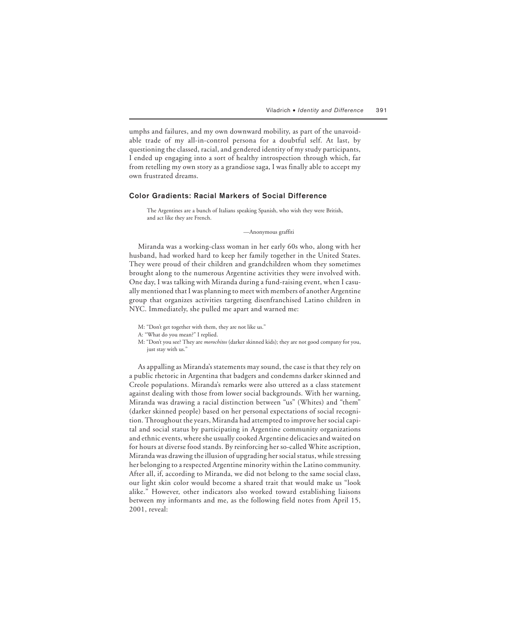umphs and failures, and my own downward mobility, as part of the unavoidable trade of my all-in-control persona for a doubtful self. At last, by questioning the classed, racial, and gendered identity of my study participants, I ended up engaging into a sort of healthy introspection through which, far from retelling my own story as a grandiose saga, I was finally able to accept my own frustrated dreams.

### **Color Gradients: Racial Markers of Social Difference**

The Argentines are a bunch of Italians speaking Spanish, who wish they were British, and act like they are French.

—Anonymous graffiti

Miranda was a working-class woman in her early 60s who, along with her husband, had worked hard to keep her family together in the United States. They were proud of their children and grandchildren whom they sometimes brought along to the numerous Argentine activities they were involved with. One day, I was talking with Miranda during a fund-raising event, when I casually mentioned that I was planning to meet with members of another Argentine group that organizes activities targeting disenfranchised Latino children in NYC. Immediately, she pulled me apart and warned me:

- M: "Don't get together with them, they are not like us."
- A: "What do you mean?" I replied.
- M: "Don't you see? They are *morochitos* (darker skinned kids); they are not good company for you, just stay with us."

As appalling as Miranda's statements may sound, the case is that they rely on a public rhetoric in Argentina that badgers and condemns darker skinned and Creole populations. Miranda's remarks were also uttered as a class statement against dealing with those from lower social backgrounds. With her warning, Miranda was drawing a racial distinction between "us" (Whites) and "them" (darker skinned people) based on her personal expectations of social recognition. Throughout the years, Miranda had attempted to improve her social capital and social status by participating in Argentine community organizations and ethnic events, where she usually cooked Argentine delicacies and waited on for hours at diverse food stands. By reinforcing her so-called White ascription, Miranda was drawing the illusion of upgrading her social status, while stressing her belonging to a respected Argentine minority within the Latino community. After all, if, according to Miranda, we did not belong to the same social class, our light skin color would become a shared trait that would make us "look alike." However, other indicators also worked toward establishing liaisons between my informants and me, as the following field notes from April 15, 2001, reveal: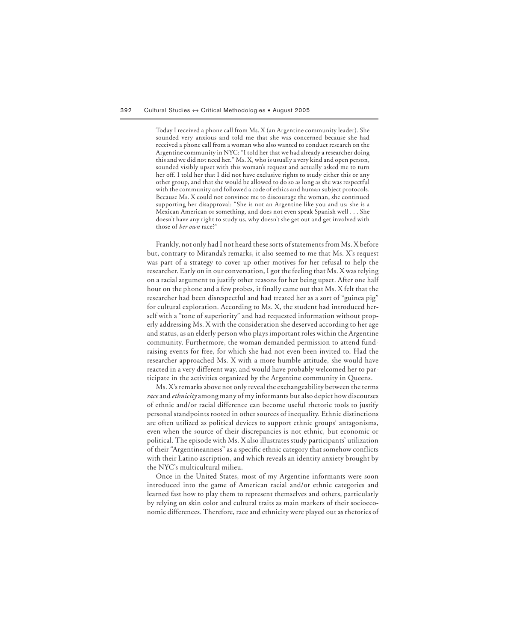Today I received a phone call from Ms. X (an Argentine community leader). She sounded very anxious and told me that she was concerned because she had received a phone call from a woman who also wanted to conduct research on the Argentine community in NYC: "I told her that we had already a researcher doing this and we did not need her." Ms. X, who is usually a very kind and open person, sounded visibly upset with this woman's request and actually asked me to turn her off. I told her that I did not have exclusive rights to study either this or any other group, and that she would be allowed to do so as long as she was respectful with the community and followed a code of ethics and human subject protocols. Because Ms. X could not convince me to discourage the woman, she continued supporting her disapproval: "She is not an Argentine like you and us; she is a Mexican American or something, and does not even speak Spanish well . . . She doesn't have any right to study us, why doesn't she get out and get involved with those of *her own* race?"

Frankly, not only had I not heard these sorts of statements from Ms. X before but, contrary to Miranda's remarks, it also seemed to me that Ms. X's request was part of a strategy to cover up other motives for her refusal to help the researcher. Early on in our conversation, I got the feeling that Ms. X was relying on a racial argument to justify other reasons for her being upset. After one half hour on the phone and a few probes, it finally came out that Ms. X felt that the researcher had been disrespectful and had treated her as a sort of "guinea pig" for cultural exploration. According to Ms. X, the student had introduced herself with a "tone of superiority" and had requested information without properly addressing Ms. X with the consideration she deserved according to her age and status, as an elderly person who plays important roles within the Argentine community. Furthermore, the woman demanded permission to attend fundraising events for free, for which she had not even been invited to. Had the researcher approached Ms. X with a more humble attitude, she would have reacted in a very different way, and would have probably welcomed her to participate in the activities organized by the Argentine community in Queens.

Ms. X's remarks above not only reveal the exchangeability between the terms *race* and *ethnicity* among many of my informants but also depict how discourses of ethnic and/or racial difference can become useful rhetoric tools to justify personal standpoints rooted in other sources of inequality. Ethnic distinctions are often utilized as political devices to support ethnic groups' antagonisms, even when the source of their discrepancies is not ethnic, but economic or political. The episode with Ms. X also illustrates study participants' utilization of their "Argentineanness" as a specific ethnic category that somehow conflicts with their Latino ascription, and which reveals an identity anxiety brought by the NYC's multicultural milieu.

Once in the United States, most of my Argentine informants were soon introduced into the game of American racial and/or ethnic categories and learned fast how to play them to represent themselves and others, particularly by relying on skin color and cultural traits as main markers of their socioeconomic differences. Therefore, race and ethnicity were played out as rhetorics of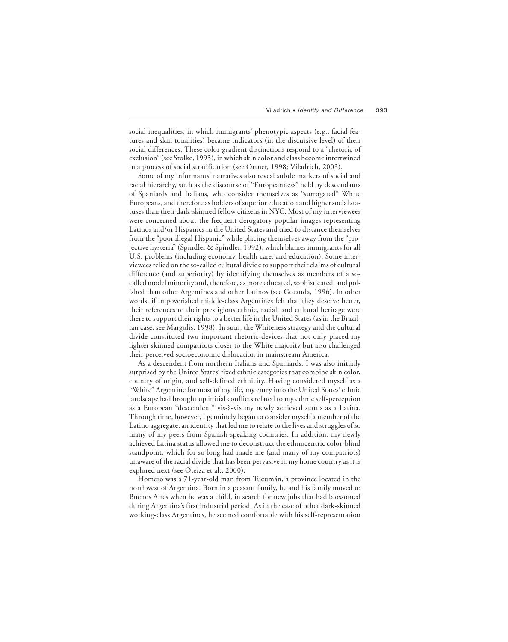social inequalities, in which immigrants' phenotypic aspects (e.g., facial features and skin tonalities) became indicators (in the discursive level) of their social differences. These color-gradient distinctions respond to a "rhetoric of exclusion" (see Stolke, 1995), in which skin color and class become intertwined in a process of social stratification (see Ortner, 1998; Viladrich, 2003).

Some of my informants' narratives also reveal subtle markers of social and racial hierarchy, such as the discourse of "Europeanness" held by descendants of Spaniards and Italians, who consider themselves as "surrogated" White Europeans, and therefore as holders of superior education and higher social statuses than their dark-skinned fellow citizens in NYC. Most of my interviewees were concerned about the frequent derogatory popular images representing Latinos and/or Hispanics in the United States and tried to distance themselves from the "poor illegal Hispanic" while placing themselves away from the "projective hysteria" (Spindler & Spindler, 1992), which blames immigrants for all U.S. problems (including economy, health care, and education). Some interviewees relied on the so-called cultural divide to support their claims of cultural difference (and superiority) by identifying themselves as members of a socalled model minority and, therefore, as more educated, sophisticated, and polished than other Argentines and other Latinos (see Gotanda, 1996). In other words, if impoverished middle-class Argentines felt that they deserve better, their references to their prestigious ethnic, racial, and cultural heritage were there to support their rights to a better life in the United States (as in the Brazilian case, see Margolis, 1998). In sum, the Whiteness strategy and the cultural divide constituted two important rhetoric devices that not only placed my lighter skinned compatriots closer to the White majority but also challenged their perceived socioeconomic dislocation in mainstream America.

As a descendent from northern Italians and Spaniards, I was also initially surprised by the United States' fixed ethnic categories that combine skin color, country of origin, and self-defined ethnicity. Having considered myself as a "White" Argentine for most of my life, my entry into the United States' ethnic landscape had brought up initial conflicts related to my ethnic self-perception as a European "descendent" vis-à-vis my newly achieved status as a Latina. Through time, however, I genuinely began to consider myself a member of the Latino aggregate, an identity that led me to relate to the lives and struggles of so many of my peers from Spanish-speaking countries. In addition, my newly achieved Latina status allowed me to deconstruct the ethnocentric color-blind standpoint, which for so long had made me (and many of my compatriots) unaware of the racial divide that has been pervasive in my home country as it is explored next (see Oteiza et al., 2000).

Homero was a 71-year-old man from Tucumán, a province located in the northwest of Argentina. Born in a peasant family, he and his family moved to Buenos Aires when he was a child, in search for new jobs that had blossomed during Argentina's first industrial period. As in the case of other dark-skinned working-class Argentines, he seemed comfortable with his self-representation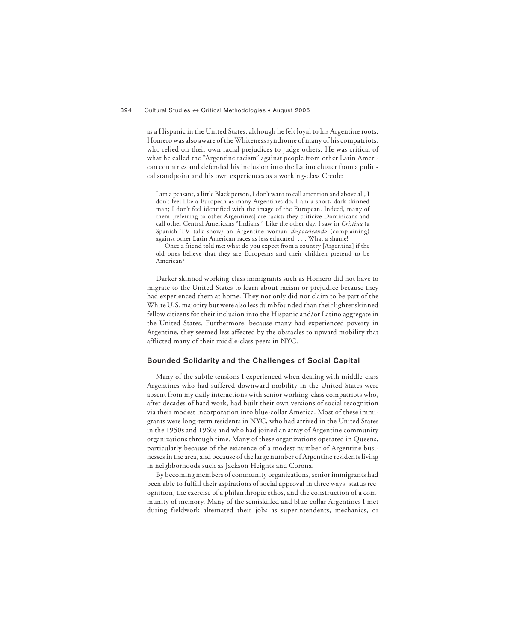as a Hispanic in the United States, although he felt loyal to his Argentine roots. Homero was also aware of the Whiteness syndrome of many of his compatriots, who relied on their own racial prejudices to judge others. He was critical of what he called the "Argentine racism" against people from other Latin American countries and defended his inclusion into the Latino cluster from a political standpoint and his own experiences as a working-class Creole:

I am a peasant, a little Black person, I don't want to call attention and above all, I don't feel like a European as many Argentines do. I am a short, dark-skinned man; I don't feel identified with the image of the European. Indeed, many of them [referring to other Argentines] are racist; they criticize Dominicans and call other Central Americans "Indians." Like the other day, I saw in *Cristina* (a Spanish TV talk show) an Argentine woman *despotricando* (complaining) against other Latin American races as less educated. . . . What a shame!

Once a friend told me: what do you expect from a country [Argentina] if the old ones believe that they are Europeans and their children pretend to be American?

Darker skinned working-class immigrants such as Homero did not have to migrate to the United States to learn about racism or prejudice because they had experienced them at home. They not only did not claim to be part of the White U.S. majority but were also less dumbfounded than their lighter skinned fellow citizens for their inclusion into the Hispanic and/or Latino aggregate in the United States. Furthermore, because many had experienced poverty in Argentine, they seemed less affected by the obstacles to upward mobility that afflicted many of their middle-class peers in NYC.

### **Bounded Solidarity and the Challenges of Social Capital**

Many of the subtle tensions I experienced when dealing with middle-class Argentines who had suffered downward mobility in the United States were absent from my daily interactions with senior working-class compatriots who, after decades of hard work, had built their own versions of social recognition via their modest incorporation into blue-collar America. Most of these immigrants were long-term residents in NYC, who had arrived in the United States in the 1950s and 1960s and who had joined an array of Argentine community organizations through time. Many of these organizations operated in Queens, particularly because of the existence of a modest number of Argentine businesses in the area, and because of the large number of Argentine residents living in neighborhoods such as Jackson Heights and Corona.

By becoming members of community organizations, senior immigrants had been able to fulfill their aspirations of social approval in three ways: status recognition, the exercise of a philanthropic ethos, and the construction of a community of memory. Many of the semiskilled and blue-collar Argentines I met during fieldwork alternated their jobs as superintendents, mechanics, or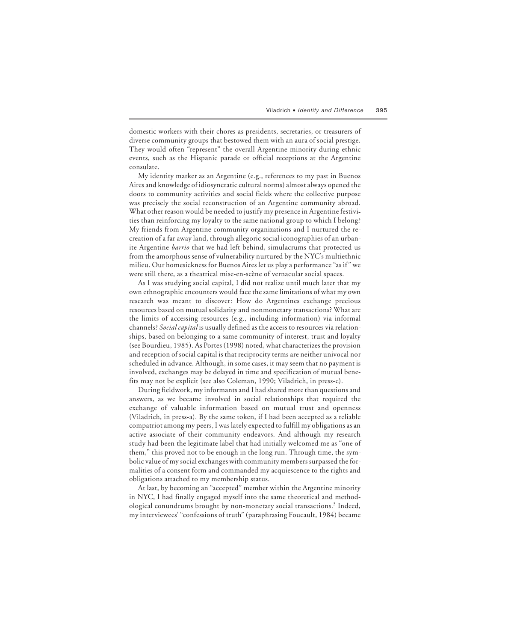domestic workers with their chores as presidents, secretaries, or treasurers of diverse community groups that bestowed them with an aura of social prestige. They would often "represent" the overall Argentine minority during ethnic events, such as the Hispanic parade or official receptions at the Argentine consulate.

My identity marker as an Argentine (e.g., references to my past in Buenos Aires and knowledge of idiosyncratic cultural norms) almost always opened the doors to community activities and social fields where the collective purpose was precisely the social reconstruction of an Argentine community abroad. What other reason would be needed to justify my presence in Argentine festivities than reinforcing my loyalty to the same national group to which I belong? My friends from Argentine community organizations and I nurtured the recreation of a far away land, through allegoric social iconographies of an urbanite Argentine *barrio* that we had left behind, simulacrums that protected us from the amorphous sense of vulnerability nurtured by the NYC's multiethnic milieu. Our homesickness for Buenos Aires let us play a performance "as if " we were still there, as a theatrical mise-en-scène of vernacular social spaces.

As I was studying social capital, I did not realize until much later that my own ethnographic encounters would face the same limitations of what my own research was meant to discover: How do Argentines exchange precious resources based on mutual solidarity and nonmonetary transactions? What are the limits of accessing resources (e.g., including information) via informal channels? *Social capital* is usually defined as the access to resources via relationships, based on belonging to a same community of interest, trust and loyalty (see Bourdieu, 1985). As Portes (1998) noted, what characterizes the provision and reception of social capital is that reciprocity terms are neither univocal nor scheduled in advance. Although, in some cases, it may seem that no payment is involved, exchanges may be delayed in time and specification of mutual benefits may not be explicit (see also Coleman, 1990; Viladrich, in press-c).

During fieldwork, my informants and I had shared more than questions and answers, as we became involved in social relationships that required the exchange of valuable information based on mutual trust and openness (Viladrich, in press-a). By the same token, if I had been accepted as a reliable compatriot among my peers, I was lately expected to fulfill my obligations as an active associate of their community endeavors. And although my research study had been the legitimate label that had initially welcomed me as "one of them," this proved not to be enough in the long run. Through time, the symbolic value of my social exchanges with community members surpassed the formalities of a consent form and commanded my acquiescence to the rights and obligations attached to my membership status.

At last, by becoming an "accepted" member within the Argentine minority in NYC, I had finally engaged myself into the same theoretical and methodological conundrums brought by non-monetary social transactions.<sup>3</sup> Indeed, my interviewees' "confessions of truth" (paraphrasing Foucault, 1984) became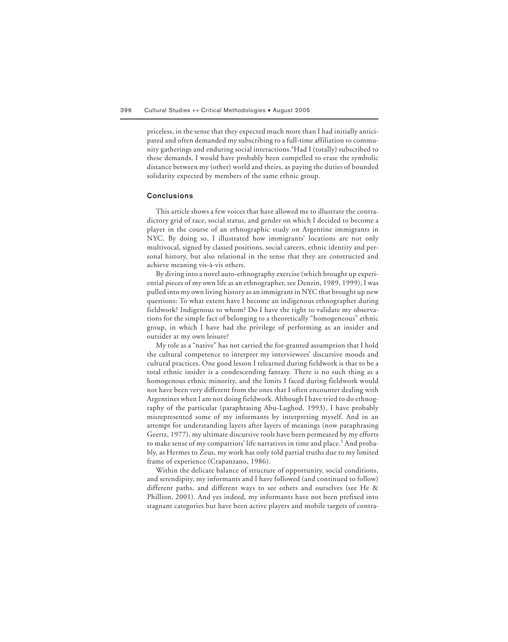priceless, in the sense that they expected much more than I had initially anticipated and often demanded my subscribing to a full-time affiliation to community gatherings and enduring social interactions.<sup>4</sup>Had I (totally) subscribed to these demands, I would have probably been compelled to erase the symbolic distance between my (other) world and theirs, as paying the duties of bounded solidarity expected by members of the same ethnic group.

#### **Conclusions**

This article shows a few voices that have allowed me to illustrate the contradictory grid of race, social status, and gender on which I decided to become a player in the course of an ethnographic study on Argentine immigrants in NYC. By doing so, I illustrated how immigrants' locations are not only multivocal, signed by classed positions, social careers, ethnic identity and personal history, but also relational in the sense that they are constructed and achieve meaning vis-à-vis others.

By diving into a novel auto-ethnography exercise (which brought up experiential pieces of my own life as an ethnographer, see Denzin, 1989, 1999), I was pulled into my own living history as an immigrant in NYC that brought up new questions: To what extent have I become an indigenous ethnographer during fieldwork? Indigenous to whom? Do I have the right to validate my observations for the simple fact of belonging to a theoretically "homogeneous" ethnic group, in which I have had the privilege of performing as an insider and outsider at my own leisure?

My role as a "native" has not carried the for-granted assumption that I hold the cultural competence to interpret my interviewees' discursive moods and cultural practices. One good lesson I relearned during fieldwork is that to be a total ethnic insider is a condescending fantasy. There is no such thing as a homogenous ethnic minority, and the limits I faced during fieldwork would not have been very different from the ones that I often encounter dealing with Argentines when I am not doing fieldwork. Although I have tried to do ethnography of the particular (paraphrasing Abu-Lughod, 1993), I have probably misrepresented some of my informants by interpreting myself. And in an attempt for understanding layers after layers of meanings (now paraphrasing Geertz, 1977), my ultimate discursive tools have been permeated by my efforts to make sense of my compatriots' life narratives in time and place.<sup>5</sup> And probably, as Hermes to Zeus, my work has only told partial truths due to my limited frame of experience (Crapanzano, 1986).

Within the delicate balance of structure of opportunity, social conditions, and serendipity, my informants and I have followed (and continued to follow) different paths, and different ways to see others and ourselves (see He & Phillion, 2001). And yes indeed, my informants have not been prefixed into stagnant categories but have been active players and mobile targets of contra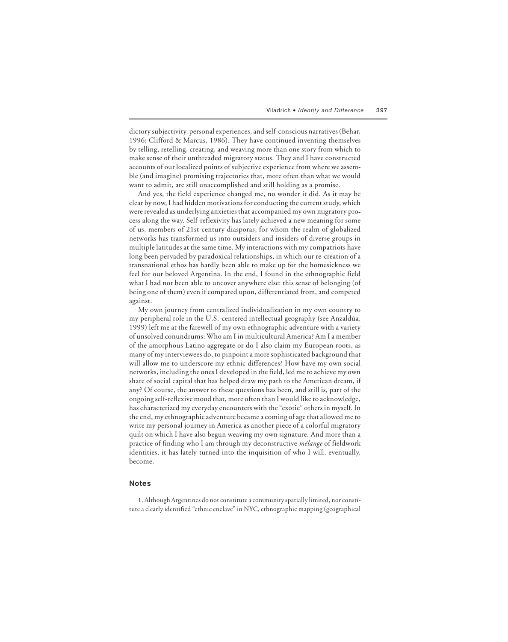dictory subjectivity, personal experiences, and self-conscious narratives (Behar, 1996; Clifford & Marcus, 1986). They have continued inventing themselves by telling, retelling, creating, and weaving more than one story from which to make sense of their unthreaded migratory status. They and I have constructed accounts of our localized points of subjective experience from where we assemble (and imagine) promising trajectories that, more often than what we would want to admit, are still unaccomplished and still holding as a promise.

And yes, the field experience changed me, no wonder it did. As it may be clear by now, I had hidden motivations for conducting the current study, which were revealed as underlying anxieties that accompanied my own migratory process along the way. Self-reflexivity has lately achieved a new meaning for some of us, members of 21st-century diasporas, for whom the realm of globalized networks has transformed us into outsiders and insiders of diverse groups in multiple latitudes at the same time. My interactions with my compatriots have long been pervaded by paradoxical relationships, in which our re-creation of a transnational ethos has hardly been able to make up for the homesickness we feel for our beloved Argentina. In the end, I found in the ethnographic field what I had not been able to uncover anywhere else: this sense of belonging (of being one of them) even if compared upon, differentiated from, and competed against.

My own journey from centralized individualization in my own country to my peripheral role in the U.S.-centered intellectual geography (see Anzaldúa, 1999) left me at the farewell of my own ethnographic adventure with a variety of unsolved conundrums: Who am I in multicultural America? Am I a member of the amorphous Latino aggregate or do I also claim my European roots, as many of my interviewees do, to pinpoint a more sophisticated background that will allow me to underscore my ethnic differences? How have my own social networks, including the ones I developed in the field, led me to achieve my own share of social capital that has helped draw my path to the American dream, if any? Of course, the answer to these questions has been, and still is, part of the ongoing self-reflexive mood that, more often than I would like to acknowledge, has characterized my everyday encounters with the "exotic" others in myself. In the end, my ethnographic adventure became a coming of age that allowed me to write my personal journey in America as another piece of a colorful migratory quilt on which I have also begun weaving my own signature. And more than a practice of finding who I am through my deconstructive *mélange* of fieldwork identities, it has lately turned into the inquisition of who I will, eventually, become.

#### **Notes**

1. Although Argentines do not constitute a community spatially limited, nor constitute a clearly identified "ethnic enclave" in NYC, ethnographic mapping (geographical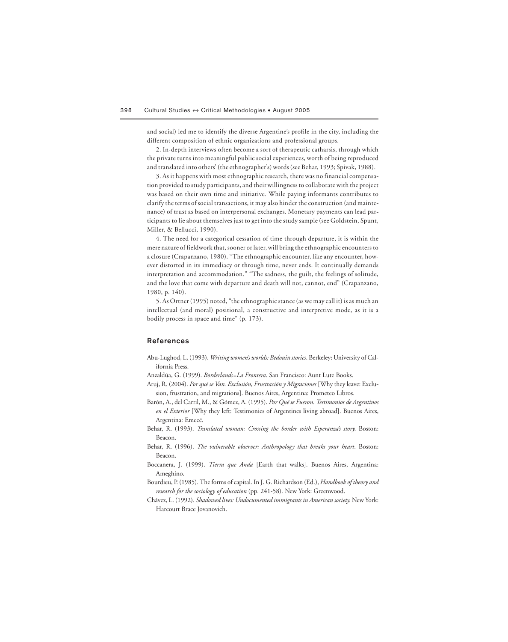and social) led me to identify the diverse Argentine's profile in the city, including the different composition of ethnic organizations and professional groups.

2. In-depth interviews often become a sort of therapeutic catharsis, through which the private turns into meaningful public social experiences, worth of being reproduced and translated into others' (the ethnographer's) words (see Behar, 1993; Spivak, 1988).

3. As it happens with most ethnographic research, there was no financial compensation provided to study participants, and their willingness to collaborate with the project was based on their own time and initiative. While paying informants contributes to clarify the terms of social transactions, it may also hinder the construction (and maintenance) of trust as based on interpersonal exchanges. Monetary payments can lead participants to lie about themselves just to get into the study sample (see Goldstein, Spunt, Miller, & Bellucci, 1990).

4. The need for a categorical cessation of time through departure, it is within the mere nature of fieldwork that, sooner or later, will bring the ethnographic encounters to a closure (Crapanzano, 1980). "The ethnographic encounter, like any encounter, however distorted in its immediacy or through time, never ends. It continually demands interpretation and accommodation." "The sadness, the guilt, the feelings of solitude, and the love that come with departure and death will not, cannot, end" (Crapanzano, 1980, p. 140).

5. As Ortner (1995) noted, "the ethnographic stance (as we may call it) is as much an intellectual (and moral) positional, a constructive and interpretive mode, as it is a bodily process in space and time" (p. 173).

#### **References**

Abu-Lughod, L. (1993). *Writing women's worlds: Bedouin stories*. Berkeley: University of California Press.

Anzaldúa, G. (1999). *Borderlands=La Frontera*. San Francisco: Aunt Lute Books.

- Aruj, R. (2004). *Por qué se Van. Exclusión, Frustración y Migraciones* [Why they leave: Exclusion, frustration, and migrations]. Buenos Aires, Argentina: Prometeo Libros.
- Barón, A., del Carril, M., & Gómez, A. (1995). *Por Qué se Fueron. Testimonios de Argentinos en el Exterior* [Why they left: Testimonies of Argentines living abroad]. Buenos Aires, Argentina: Emecé.
- Behar, R. (1993). *Translated woman: Crossing the border with Esperanza's story*. Boston: Beacon.
- Behar, R. (1996). *The vulnerable observer: Anthropology that breaks your heart*. Boston: Beacon.
- Boccanera, J. (1999). *Tierra que Anda* [Earth that walks]. Buenos Aires, Argentina: Ameghino.
- Bourdieu, P. (1985). The forms of capital. In J. G. Richardson (Ed.), *Handbook of theory and research for the sociology of education* (pp. 241-58). New York: Greenwood.
- Chávez, L. (1992). *Shadowed lives: Undocumented immigrants in American society*. New York: Harcourt Brace Jovanovich.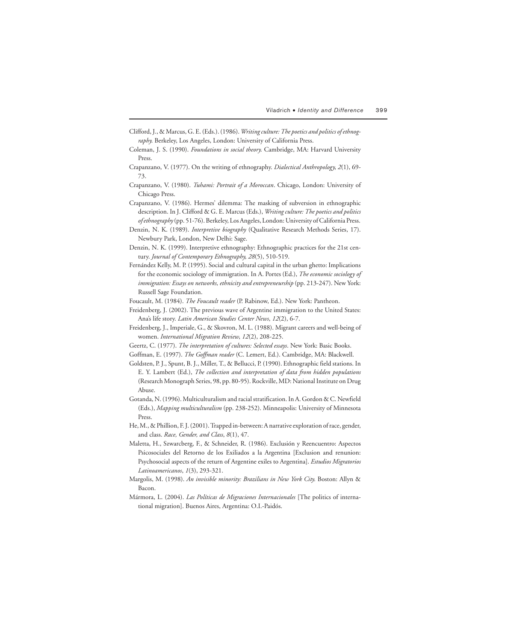- Clifford, J., & Marcus, G. E. (Eds.). (1986). *Writing culture: The poetics and politics of ethnography*. Berkeley, Los Angeles, London: University of California Press.
- Coleman, J. S. (1990). *Foundations in social theory*. Cambridge, MA: Harvard University Press.
- Crapanzano, V. (1977). On the writing of ethnography. *Dialectical Anthropology*, *2*(1), 69- 73.
- Crapanzano, V. (1980). *Tuhami: Portrait of a Moroccan*. Chicago, London: University of Chicago Press.
- Crapanzano, V. (1986). Hermes' dilemma: The masking of subversion in ethnographic description. In J. Clifford & G. E. Marcus (Eds.), *Writing culture: The poetics and politics of ethnography*(pp. 51-76). Berkeley, Los Angeles, London: University of California Press.
- Denzin, N. K. (1989). *Interpretive biography* (Qualitative Research Methods Series, 17). Newbury Park, London, New Delhi: Sage.
- Denzin, N. K. (1999). Interpretive ethnography: Ethnographic practices for the 21st century. *Journal of Contemporary Ethnography*, *28*(5), 510-519.
- Fernández Kelly, M. P. (1995). Social and cultural capital in the urban ghetto: Implications for the economic sociology of immigration. In A. Portes (Ed.), *The economic sociology of immigration: Essays on networks, ethnicity and entrepreneurship* (pp. 213-247). New York: Russell Sage Foundation.
- Foucault, M. (1984). *The Foucault reader* (P. Rabinow, Ed.). New York: Pantheon.
- Freidenberg, J. (2002). The previous wave of Argentine immigration to the United States: Ana's life story. *Latin American Studies Center News*, *12*(2), 6-7.
- Freidenberg, J., Imperiale, G., & Skovron, M. L. (1988). Migrant careers and well-being of women. *International Migration Review*, *12*(2), 208-225.
- Geertz, C. (1977). *The interpretation of cultures: Selected essays*. New York: Basic Books.
- Goffman, E. (1997). *The Goffman reader* (C. Lemert, Ed.). Cambridge, MA: Blackwell.
- Goldsten, P. J., Spunt, B. J., Miller, T., & Bellucci, P. (1990). Ethnographic field stations. In E. Y. Lambert (Ed.), *The collection and interpretation of data from hidden populations* (Research Monograph Series, 98, pp. 80-95). Rockville, MD: National Institute on Drug Abuse.
- Gotanda, N. (1996). Multiculturalism and racial stratification. In A. Gordon & C. Newfield (Eds.), *Mapping multiculturalism* (pp. 238-252). Minneapolis: University of Minnesota Press.
- He, M., & Phillion, F. J. (2001). Trapped in-between: A narrative exploration of race, gender, and class. *Race, Gender, and Class*, *8*(1), 47.
- Maletta, H., Szwarcberg, F., & Schneider, R. (1986). Exclusión y Reencuentro: Aspectos Psicosociales del Retorno de los Exiliados a la Argentina [Exclusion and renunion: Psychosocial aspects of the return of Argentine exiles to Argentina]. *Estudios Migratorios Latinoamericanos*, *1*(3), 293-321.
- Margolis, M. (1998). *An invisible minority: Brazilians in New York City*. Boston: Allyn & Bacon.
- Mármora, L. (2004). *Las Políticas de Migraciones Internacionales* [The politics of international migration]. Buenos Aires, Argentina: O.I.-Paidós.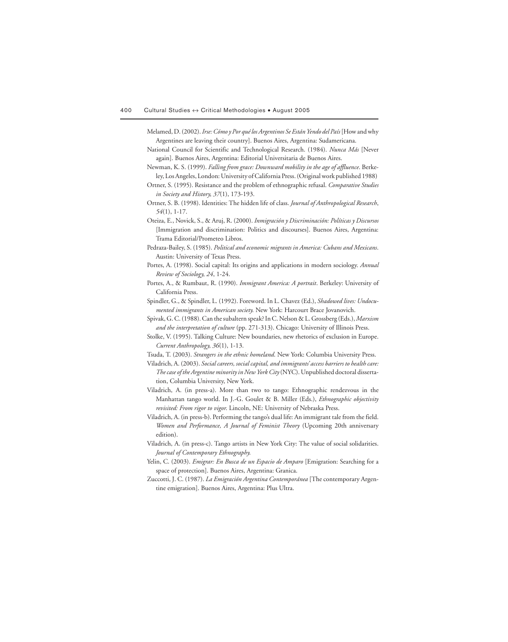- Melamed, D. (2002).*Irse: Cómo y Por qué los Argentinos Se Están Yendo del País*[How and why Argentines are leaving their country]. Buenos Aires, Argentina: Sudamericana.
- National Council for Scientific and Technological Research. (1984). *Nunca Más* [Never again]. Buenos Aires, Argentina: Editorial Universitaria de Buenos Aires.
- Newman, K. S. (1999). *Falling from grace: Downward mobility in the age of affluence*. Berkeley, Los Angeles, London: University of California Press. (Original work published 1988)
- Ortner, S. (1995). Resistance and the problem of ethnographic refusal. *Comparative Studies in Society and History*, *37*(1), 173-193.
- Ortner, S. B. (1998). Identities: The hidden life of class. *Journal of Anthropological Research*, *54*(1), 1-17.
- Oteiza, E., Novick, S., & Aruj, R. (2000). *Inmigración y Discriminación: Políticas y Discursos* [Immigration and discrimination: Politics and discourses]. Buenos Aires, Argentina: Trama Editorial/Prometeo Libros.
- Pedraza-Bailey, S. (1985). *Political and economic migrants in America: Cubans and Mexicans*. Austin: University of Texas Press.
- Portes, A. (1998). Social capital: Its origins and applications in modern sociology. *Annual Review of Sociology*, *24*, 1-24.
- Portes, A., & Rumbaut, R. (1990). *Immigrant America: A portrait*. Berkeley: University of California Press.
- Spindler, G., & Spindler, L. (1992). Foreword. In L. Chavez (Ed.), *Shadowed lives: Undocumented immigrants in American society*. New York: Harcourt Brace Jovanovich.
- Spivak, G. C. (1988). Can the subaltern speak? In C. Nelson & L. Grossberg (Eds.), *Marxism and the interpretation of culture* (pp. 271-313). Chicago: University of Illinois Press.
- Stolke, V. (1995). Talking Culture: New boundaries, new rhetorics of exclusion in Europe. *Current Anthropology*, *36*(1), 1-13.
- Tsuda, T. (2003). *Strangers in the ethnic homeland*. New York: Columbia University Press.
- Viladrich, A. (2003). *Social careers, social capital, and immigrants' access barriers to health care: The case of the Argentine minority in New York City*(NYC). Unpublished doctoral dissertation, Columbia University, New York.
- Viladrich, A. (in press-a). More than two to tango: Ethnographic rendezvous in the Manhattan tango world. In J.-G. Goulet & B. Miller (Eds.), *Ethnographic objectivity revisited: From rigor to vigor*. Lincoln, NE: University of Nebraska Press.
- Viladrich, A. (in press-b). Performing the tango's dual life: An immigrant tale from the field. *Women and Performance, A Journal of Feminist Theory* (Upcoming 20th anniversary edition).
- Viladrich, A. (in press-c). Tango artists in New York City: The value of social solidarities. *Journal of Contemporary Ethnography*.
- Yelin, C. (2003). *Emigrar: En Busca de un Espacio de Amparo* [Emigration: Searching for a space of protection]. Buenos Aires, Argentina: Granica.
- Zuccotti, J. C. (1987). *La Emigración Argentina Contemporánea* [The contemporary Argentine emigration]. Buenos Aires, Argentina: Plus Ultra.